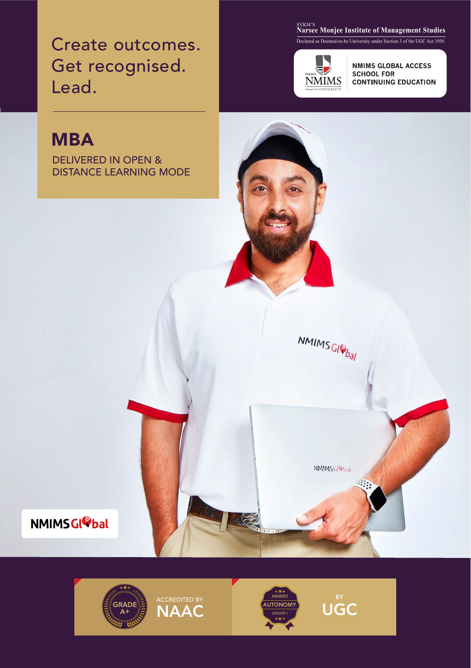Create outcomes. Get recognised. Lead.

### <sub>SVKM'S</sub><br>Narsee Monjee Institute of Management Studies

Declared as Deemed-to-be University under Section 3 of the UGC Act 1956



NMIMS<sub>GI<sup>C</sup>bal</sub>

NMIMS G<sup>Re</sup>bal

**NMIMS GLOBAL ACCESS SCHOOL FOR CONTINUING EDUCATION** 

# **MBA**

DELIVERED IN OPEN & DISTANCE LEARNING MODE



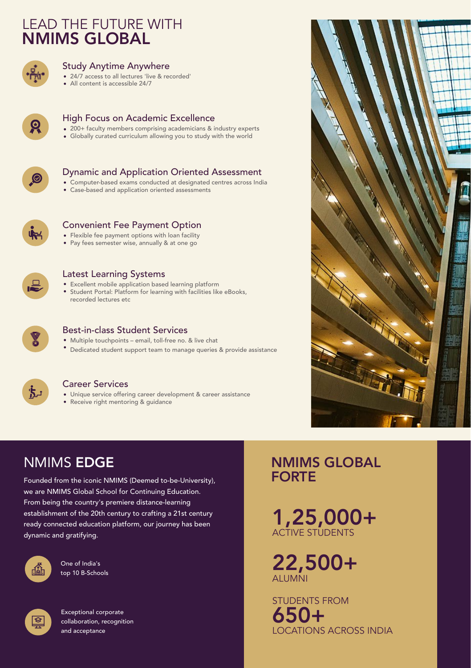### LEAD THE FUTURE WITH NMIMS GLOBAL



#### Study Anytime Anywhere

- 24/7 access to all lectures 'live & recorded'
- All content is accessible 24/7



#### High Focus on Academic Excellence

- 200+ faculty members comprising academicians & industry experts
- Globally curated curriculum allowing you to study with the world



### Dynamic and Application Oriented Assessment

- Computer-based exams conducted at designated centres across India
- Case-based and application oriented assessments



#### Convenient Fee Payment Option

- Flexible fee payment options with loan facility
- Pay fees semester wise, annually & at one go



#### Latest Learning Systems

- Excellent mobile application based learning platform
- Student Portal: Platform for learning with facilities like eBooks, recorded lectures etc



#### Best-in-class Student Services

- Multiple touchpoints email, toll-free no. & live chat
- Dedicated student support team to manage queries & provide assistance



#### Career Services

- Unique service offering career development & career assistance
- Receive right mentoring & guidance

### NMIMS EDGE

Founded from the iconic NMIMS (Deemed to-be-University), we are NMIMS Global School for Continuing Education. From being the country's premiere distance-learning establishment of the 20th century to crafting a 21st century ready connected education platform, our journey has been dynamic and gratifying.



One of India's top 10 B-Schools



Exceptional corporate collaboration, recognition and acceptance

### NMIMS GLOBAL FORTE

1,25,000+ ACTIVE STUDENTS

22,500+ **ALUMNI** 

STUDENTS FROM 650+ LOCATIONS ACROSS INDIA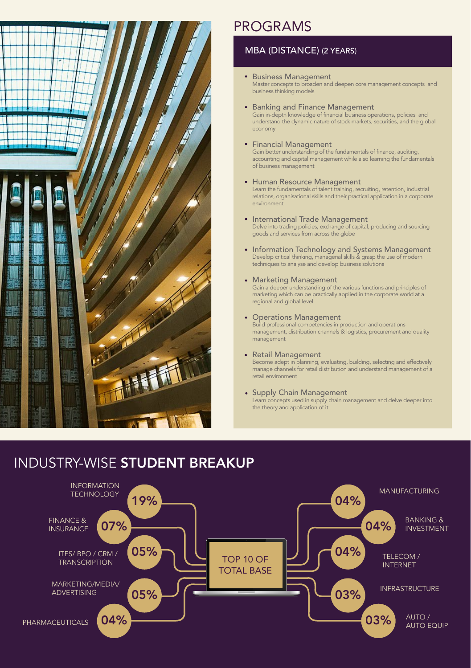

### PROGRAMS

### MBA (DISTANCE) (2 YEARS)

- **Business Management** Master concepts to broaden and deepen core management concepts and business thinking models
- **Banking and Finance Management** Gain in-depth knowledge of financial business operations, policies and understand the dynamic nature of stock markets, securities, and the global economy
- Financial Management Gain better understanding of the fundamentals of finance, auditing, accounting and capital management while also learning the fundamentals of business management
- Human Resource Management Learn the fundamentals of talent training, recruiting, retention, industrial relations, organisational skills and their practical application in a corporate environment
- International Trade Management Delve into trading policies, exchange of capital, producing and sourcing goods and services from across the globe
- Information Technology and Systems Management Develop critical thinking, managerial skills & grasp the use of modern techniques to analyse and develop business solutions
- Marketing Management

Gain a deeper understanding of the various functions and principles of marketing which can be practically applied in the corporate world at a regional and global level

- Operations Management Build professional competencies in production and operations management, distribution channels & logistics, procurement and quality management
- Retail Management Become adept in planning, evaluating, building, selecting and effectively manage channels for retail distribution and understand management of a retail environment
- Supply Chain Management Learn concepts used in supply chain management and delve deeper into the theory and application of it

### INDUSTRY-WISE STUDENT BREAKUP